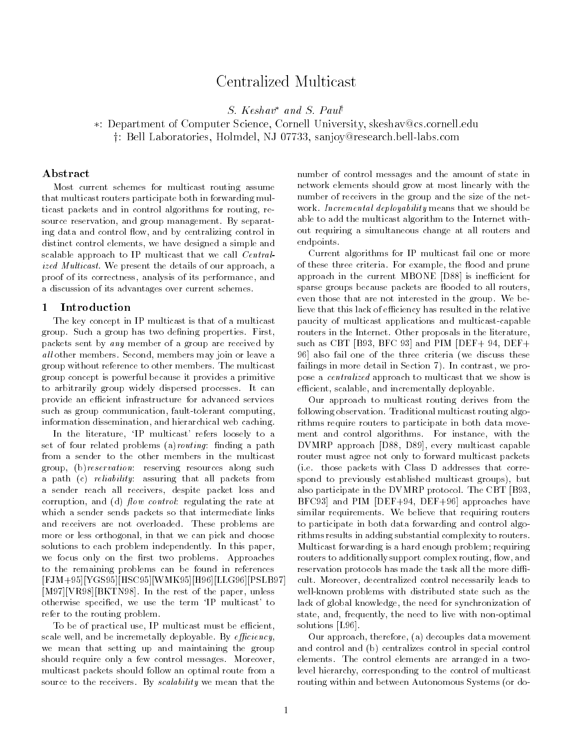# Centralized Multicast

S. Keshav<sup>\*</sup> and S. Paul<sup>†</sup>

: Department of Computer Science, Cornell University, skeshav@cs.cornell.edu y: Bell Laboratories, Holmdel, NJ 07733, sanjoy@research.bell-labs.com

Most current schemes for multicast routing assume that multicast routers participate both in forwarding multicast packets and in control algorithms for routing, resource reservation, and group management. By separating data and control flow, and by centralizing control in distinct control elements, we have designed a simple and scalable approach to IP multicast that we call *Central*ized Multicast. We present the details of our approach, a proof of its correctness, analysis of its performance, and a discussion of its advantages over current schemes.

### **Introduction** 1

The key concept in IP multicast is that of a multicast group. Such a group has two defining properties. First, packets sent by any member of a group are received by all other members. Second, members may join or leave a group without reference to other members. The multicast group concept is powerful because it provides a primitive to arbitrarily group widely dispersed processes. It can provide an efficient infrastructure for advanced services such as group communication, fault-tolerant computing, information dissemination, and hierarchical web caching.

In the literature, `IP multicast' refers loosely to a set of four related problems  $(a)$  *routing*: finding a path from a sender to the other members in the multicast group, (b) reservation: reserving resources along such a path (c) *reliability*: assuring that all packets from a sender reach all receivers, despite packet loss and corruption, and (d)  $flow\ control$ : regulating the rate at which a sender sends packets so that intermediate links and receivers are not overloaded. These problems are more or less orthogonal, in that we can pick and choose solutions to each problem independently. In this paper, we focus only on the first two problems. Approaches to the remaining problems can be found in references [FJM+95][YGS95][HSC95][WMK95][H96][LLG96][PSLB97] [M97][VR98][BKTN98]. In the rest of the paper, unless otherwise specied, we use the term `IP multicast' to refer to the routing problem.

To be of practical use, IP multicast must be efficient, scale well, and be incremetally deployable. By efficiency, we mean that setting up and maintaining the group should require only a few control messages. Moreover, multicast packets should follow an optimal route from a source to the receivers. By *scalability* we mean that the

number of control messages and the amount of state in network elements should grow at most linearly with the number of receivers in the group and the size of the net work. Incremental deployability means that we should be able to add the multicast algorithm to the Internet without requiring a simultaneous change at all routers and endpoints.

Current algorithms for IP multicast fail one or more of these three criteria. For example, the flood and prune approach in the current MBONE [D88] is inefficient for sparse groups because packets are flooded to all routers, even those that are not interested in the group. We believe that this lack of efficiency has resulted in the relative paucity of multicast applications and multicast-capable routers in the Internet. Other proposals in the literature, such as CBT [B93, BFC 93] and PIM [DEF+ 94, DEF+ 96] also fail one of the three criteria (we discuss these failings in more detail in Section 7). In contrast, we propose a centralized approach to multicast that we show is efficient, scalable, and incrementally deployable.

Our approach to multicast routing derives from the following observation. Traditional multicast routing algorithms require routers to participate in both data move ment and control algorithms. For instance, with the DVMRP approach [D88, D89], every multicast capable router must agree not only to forward multicast packets (i.e. those packets with Class D addresses that correspond to previously established multicast groups), but also participate in the DVMRP protocol. The CBT [B93, BFC93] and PIM [DEF+94, DEF+96] approaches have similar requirements. We believe that requiring routers to participate in both data forwarding and control algorithms results in adding substantial complexity to routers. Multicast forwarding is a hard enough problem; requiring routers to additionally support complex routing, flow, and reservation protocols has made the task all the more difficult. Moreover, decentralized control necessarily leads to well-known problems with distributed state such as the lack of global knowledge, the need for synchronization of state, and, frequently, the need to live with non-optimal solutions [L96].

Our approach, therefore, (a) decouples data movement and control and (b) centralizes control in special control elements. The control elements are arranged in a twolevel hierarchy, corresponding to the control of multicast routing within and between Autonomous Systems (or do-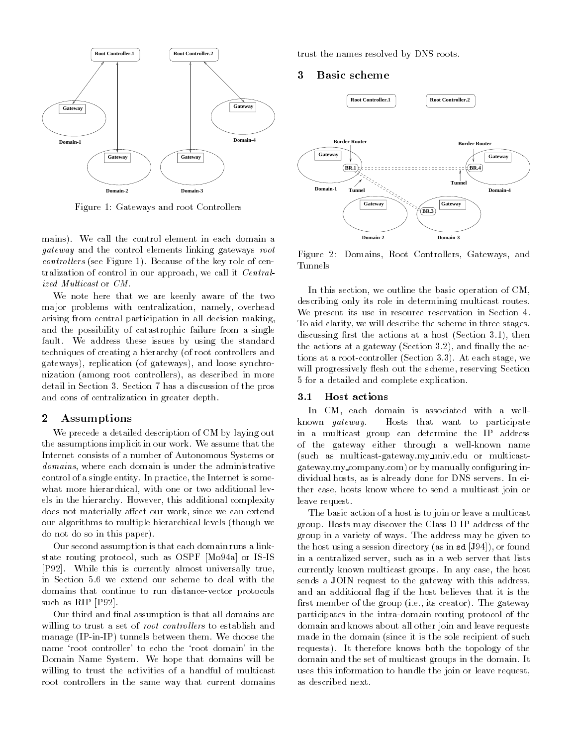

Figure 1: Gateways and root Controllers

mains). We call the control element in each domain a *gateway* and the control elements linking gateways root  $controllers$  (see Figure 1). Because of the key role of centralization of control in our approach, we call it *Central*ized Multicast or CM.

We note here that we are keenly aware of the two major problems with centralization, namely, overhead arising from central participation in all decision making, and the possibility of catastrophic failure from a single fault. We address these issues by using the standard techniques of creating a hierarchy (of root controllers and gateways), replication (of gateways), and loose synchronization (among root controllers), as described in more detail in Section 3. Section 7 has a discussion of the pros and cons of centralization in greater depth.

## 2 Assumptions

We precede a detailed description of CM by laying out the assumptions implicit in our work. We assume that the Internet consists of a number of Autonomous Systems or domains, where each domain is under the administrative control of a single entity. In practice, the Internet is somewhat more hierarchical, with one or two additional levels in the hierarchy. However, this additional complexity does not materially affect our work, since we can extend our algorithms to multiple hierarchical levels (though we do not do so in this paper).

Our second assumption is that each domain runs a linkstate routing protocol, such as OSPF [Mo94a] or IS-IS [P92]. While this is currently almost universally true, in Section 5.6 we extend our scheme to deal with the domains that continue to run distance-vector protocols such as RIP [P92].

Our third and final assumption is that all domains are willing to trust a set of root controllers to establish and manage (IP-in-IP) tunnels between them. We choose the name `root controller' to echo the `root domain' in the Domain Name System. We hope that domains will be willing to trust the activities of a handful of multicast root controllers in the same way that current domains trust the names resolved by DNS roots.

### 3 Basic scheme



Figure 2: Domains, Root Controllers, Gateways, and Tunnels

In this section, we outline the basic operation of CM, describing only its role in determining multicast routes. We present its use in resource reservation in Section 4. To aid clarity, we will describe the scheme in three stages, discussing first the actions at a host (Section 3.1), then the actions at a gateway (Section 3.2), and finally the actions at a root-controller (Section 3.3). At each stage, we will progressively flesh out the scheme, reserving Section 5 for a detailed and complete explication.

#### 3.1Host actions

In CM, each domain is associated with a wellknown gateway. Hosts that want to participate in a multicast group can determine the IP address of the gateway either through a well-known name (such as multicast-gateway.my univ.edu or multicastgateway.my\_company.com) or by manually configuring individual hosts, as is already done for DNS servers. In either case, hosts know where to send a multicast join or leave request.

The basic action of a host is to join or leave a multicast group. Hosts may discover the Class D IP address of the group in a variety of ways. The address may be given to the host using a session directory (as in sd [J94]), or found in a centralized server, such as in a web server that lists currently known multicast groups. In any case, the host sends a JOIN request to the gateway with this address, and an additional flag if the host believes that it is the first member of the group (i.e., its creator). The gateway participates in the intra-domain routing protocol of the domain and knows about all other join and leave requests made in the domain (since it is the sole recipient of such requests). It therefore knows both the topology of the domain and the set of multicast groups in the domain. It uses this information to handle the join or leave request, as described next.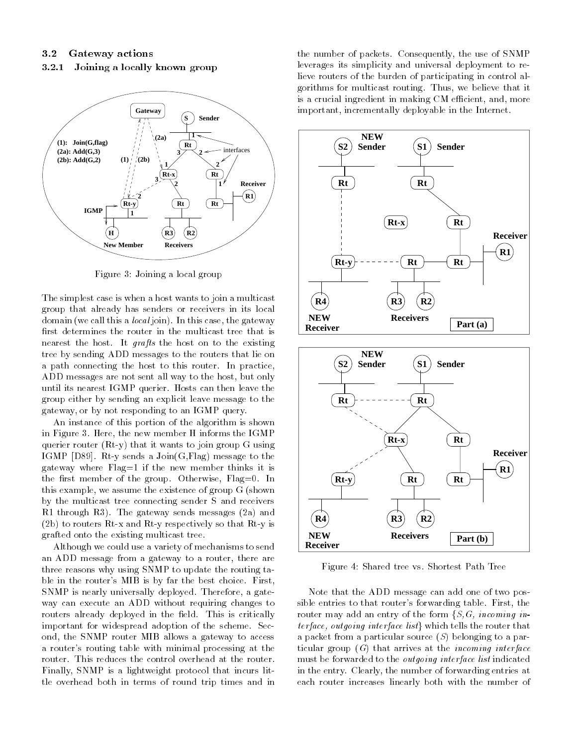3.2.1 Joining a locally known group



Figure 3: Joining a local group

The simplest case is when a host wants to join a multicast group that already has senders or receivers in its local domain (we call this a *local* join). In this case, the gateway first determines the router in the multicast tree that is nearest the host. It grafts the host on to the existing tree by sending ADD messages to the routers that lie on a path connecting the host to this router. In practice, ADD messages are not sent all way to the host, but only until its nearest IGMP querier. Hosts can then leave the group either by sending an explicit leave message to the gateway, or by not responding to an IGMP query.

An instance of this portion of the algorithm is shown in Figure 3. Here, the new member H informs the IGMP querier router (Rt-y) that it wants to join group G using IGMP [D89]. Rt-y sends a Join(G,Flag) message to the gateway where  $Flag=1$  if the new member thinks it is the first member of the group. Otherwise,  $Flag=0$ . In this example, we assume the existence of group G (shown by the multicast tree connecting sender S and receivers R1 through R3). The gateway sends messages (2a) and (2b) to routers Rt-x and Rt-y respectively so that Rt-y is grafted onto the existing multicast tree.

Although we could use a variety of mechanisms to send an ADD message from a gateway to a router, there are three reasons why using SNMP to update the routing table in the router's MIB is by far the best choice. First, SNMP is nearly universally deployed. Therefore, a gate way can execute an ADD without requiring changes to routers already deployed in the field. This is critically important for widespread adoption of the scheme. Second, the SNMP router MIB allows a gateway to access a router's routing table with minimal processing at the router. This reduces the control overhead at the router. Finally, SNMP is a lightweight protocol that incurs little overhead both in terms of round trip times and in

the number of packets. Consequently, the use of SNMP leverages its simplicity and universal deployment to relieve routers of the burden of participating in control algorithms for multicast routing. Thus, we believe that it is a crucial ingredient in making CM efficient, and, more important, incrementally deployable in the Internet.





Figure 4: Shared tree vs. Shortest Path Tree

Note that the ADD message can add one of two possible entries to that router's forwarding table. First, the router may add an entry of the form  $\{S,G, incoming\ in\}$ terface, outgoing interface list which tells the router that a packet from a particular source  $(S)$  belonging to a particular group  $(G)$  that arrives at the *incoming interface* must be forwarded to the outgoing interface list indicated in the entry. Clearly, the number of forwarding entries at each router increases linearly both with the number of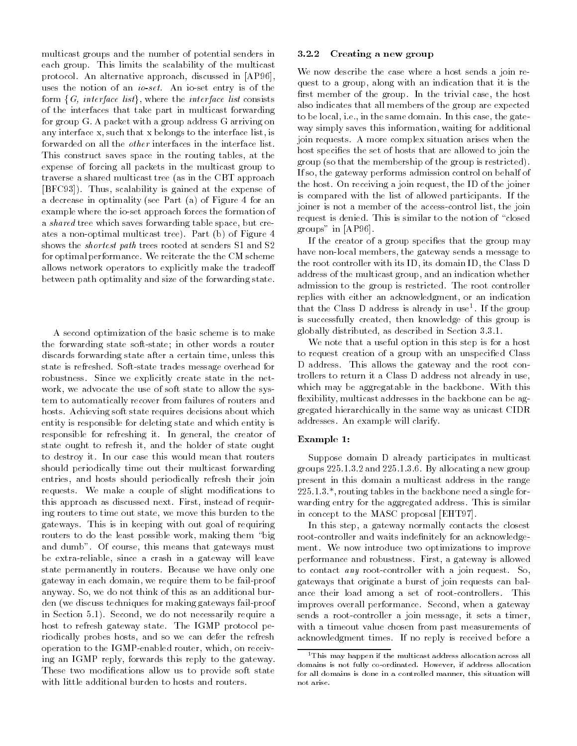multicast groups and the number of potential senders in each group. This limits the scalability of the multicast protocol. An alternative approach, discussed in [AP96], uses the notion of an *io-set*. An io-set entry is of the form  ${G, interface list}$ , where the *interface list* consists of the interfaces that take part in multicast forwarding for group G. A packet with a group address G arriving on any interface x, such that x belongs to the interface list, is forwarded on all the *other* interfaces in the interface list. This construct saves space in the routing tables, at the expense of forcing all packets in the multicast group to traverse a shared multicast tree (as in the CBT approach [BFC93]). Thus, scalability is gained at the expense of a decrease in optimality (see Part (a) of Figure 4 for an example where the io-set approach forces the formation of a shared tree which saves forwarding table space, but creates a non-optimal multicast tree). Part (b) of Figure 4 shows the shortest path trees rooted at senders S1 and S2 for optimal performance. We reiterate the the CM scheme allows network operators to explicitly make the tradeo between path optimality and size of the forwarding state.

A second optimization of the basic scheme is to make the forwarding state soft-state; in other words a router discards forwarding state after a certain time, unless this state is refreshed. Soft-state trades message overhead for robustness. Since we explicitly create state in the net work, we advocate the use of soft state to allow the system to automatically recover from failures of routers and hosts. Achieving soft state requires decisions about which entity is responsible for deleting state and which entity is responsible for refreshing it. In general, the creator of state ought to refresh it, and the holder of state ought to destroy it. In our case this would mean that routers should periodically time out their multicast forwarding entries, and hosts should periodically refresh their join requests. We make a couple of slight modifications to this approach as discussed next. First, instead of requiring routers to time out state, we move this burden to the gateways. This is in keeping with out goal of requiring routers to do the least possible work, making them "big and dumb". Of course, this means that gateways must be extra-reliable, since a crash in a gateway will leave state permanently in routers. Because we have only one gateway in each domain, we require them to be fail-proof anyway. So, we do not think of this as an additional burden (we discuss techniques for making gateways fail-proof in Section 5.1). Second, we do not necessarily require a host to refresh gateway state. The IGMP protocol periodically probes hosts, and so we can defer the refresh operation to the IGMP-enabled router, which, on receiving an IGMP reply, forwards this reply to the gateway. These two modications allow us to provide soft state with little additional burden to hosts and routers.

## 3.2.2 Creating a new group

We now describe the case where a host sends a join request to a group, along with an indication that it is the first member of the group. In the trivial case, the host also indicates that all members of the group are expected to be local, i.e., in the same domain. In this case, the gate way simply saves this information, waiting for additional join requests. A more complex situation arises when the host specifies the set of hosts that are allowed to join the group (so that the membership of the group is restricted). If so, the gateway performs admission control on behalf of the host. On receiving a join request, the ID of the joiner is compared with the list of allowed participants. If the joiner is not a member of the access-control list, the join request is denied. This is similar to the notion of "closed groups" in [AP96].

If the creator of a group specifies that the group may have non-local members, the gateway sends a message to the root controller with its ID, its domain ID, the Class D address of the multicast group, and an indication whether admission to the group is restricted. The root controller replies with either an acknowledgment, or an indication that the Class D address is already in use1 . If the group is successfully created, then knowledge of this group is globally distributed, as described in Section 3.3.1.

We note that a useful option in this step is for a host to request creation of a group with an unspecied Class D address. This allows the gateway and the root controllers to return it a Class D address not already in use, which may be aggregatable in the backbone. With this flexibility, multicast addresses in the backbone can be aggregated hierarchically in the same way as unicast CIDR addresses. An example will clarify.

## Example 1:

Suppose domain D already participates in multicast groups 225.1.3.2 and 225.1.3.6. By allocating a new group present in this domain a multicast address in the range 225.1.3.\*, routing tables in the backbone need a single for warding entry for the aggregated address. This is similar in concept to the MASC proposal [EHT97].

In this step, a gateway normally contacts the closest root-controller and waits indefinitely for an acknowledgement. We now introduce two optimizations to improve performance and robustness. First, a gateway is allowed to contact any root-controller with a join request. So, gateways that originate a burst of join requests can balance their load among a set of root-controllers. This improves overall performance. Second, when a gateway sends a root-controller a join message, it sets a timer, with a timeout value chosen from past measurements of acknowledgment times. If no reply is received before a

<sup>&</sup>lt;sup>1</sup>This may happen if the multicast address allocation across all domains is not fully co-ordinated. However, if address allocation for all domains is done in a controlled manner, this situation will not arise.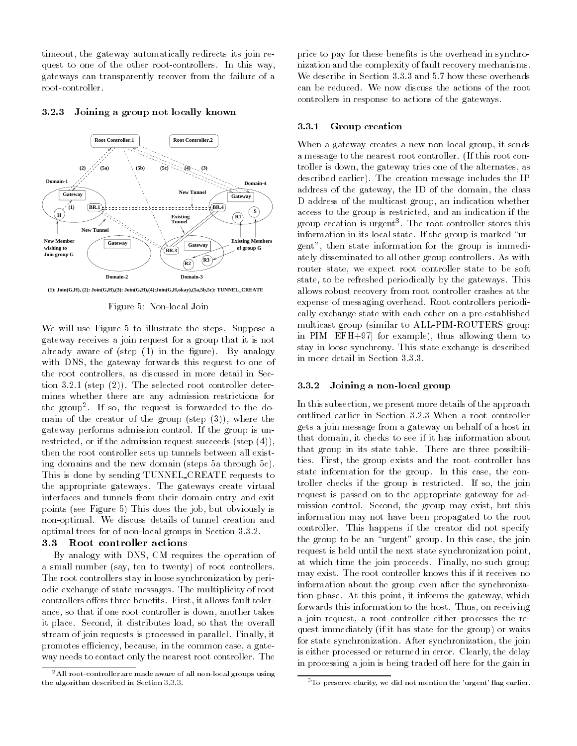timeout, the gateway automatically redirects its join request to one of the other root-controllers. In this way, gateways can transparently recover from the failure of a root-controller.

## 3.2.3 Joining a group not locally known



**(1): Join(G,H), (2): Join(G,H),(3): Join(G,H),(4):Join(G,H,okay),(5a,5b,5c): TUNNEL\_CREATE**

## Figure 5: Non-local Join

We will use Figure 5 to illustrate the steps. Suppose a gateway receives a join request for a group that it is not already aware of (step (1) in the figure). By analogy with DNS, the gateway forwards this request to one of the root controllers, as discussed in more detail in Section 3.2.1 (step (2)). The selected root controller determines whether there are any admission restrictions for the group2 . If so, the request is forwarded to the domain of the creator of the group (step (3)), where the gateway performs admission control. If the group is unrestricted, or if the admission request succeeds (step (4)), then the root controller sets up tunnels between all existing domains and the new domain (steps 5a through 5c). This is done by sending TUNNEL CREATE requests to the appropriate gateways. The gateways create virtual interfaces and tunnels from their domain entry and exit points (see Figure 5) This does the job, but obviously is non-optimal. We discuss details of tunnel creation and optimal trees for of non-local groups in Section 3.3.2.

### 3.3Root controller actions

By analogy with DNS, CM requires the operation of a small number (say, ten to twenty) of root controllers. The root controllers stay in loose synchronization by periodic exchange of state messages. The multiplicity of root controllers offers three benefits. First, it allows fault tolerance, so that if one root controller is down, another takes it place. Second, it distributes load, so that the overall stream of join requests is processed in parallel. Finally, it promotes efficiency, because, in the common case, a gateway needs to contact only the nearest root controller. The

2All root-controller are made aware of all non-local groups using the algorithm described in Section 3.3.3.

price to pay for these benefits is the overhead in synchronization and the complexity of fault recovery mechanisms. We describe in Section 3.3.3 and 5.7 how these overheads can be reduced. We now discuss the actions of the root controllers in response to actions of the gateways.

### 3.3.1 Group creation

When a gateway creates a new non-local group, it sends a message to the nearest root controller. (If this root controller is down, the gateway tries one of the alternates, as described earlier). The creation message includes the IP address of the gateway, the ID of the domain, the class D address of the multicast group, an indication whether access to the group is restricted, and an indication if the group creation is urgent . The root controller stores this information in its local state. If the group is marked "urgent", then state information for the group is immediately disseminated to all other group controllers. As with router state, we expect root controller state to be soft state, to be refreshed periodically by the gateways. This allows robust recovery from root controller crashes at the expense of messaging overhead. Root controllers periodically exchange state with each other on a pre-established multicast group (similar to ALL-PIM-ROUTERS group in PIM [EFH+97] for example), thus allowing them to stay in loose synchrony. This state exchange is described in more detail in Section 3.3.3.

### Joining a non-local group 332

In this subsection, we present more details of the approach outlined earlier in Section 3.2.3 When a root controller gets a join message from a gateway on behalf of a host in that domain, it checks to see if it has information about that group in its state table. There are three possibilities. First, the group exists and the root controller has state information for the group. In this case, the controller checks if the group is restricted. If so, the join request is passed on to the appropriate gateway for admission control. Second, the group may exist, but this information may not have been propagated to the root controller. This happens if the creator did not specify the group to be an "urgent" group. In this case, the join request is held until the next state synchronization point, at which time the join proceeds. Finally, no such group may exist. The root controller knows this if it receives no information about the group even after the synchronization phase. At this point, it informs the gateway, which forwards this information to the host. Thus, on receiving a join request, a root controller either processes the request immediately (if it has state for the group) or waits for state synchronization. After synchronization, the join is either processed or returned in error. Clearly, the delay in processing a join is being traded off here for the gain in

<sup>&</sup>lt;sup>3</sup>To preserve clarity, we did not mention the 'urgent' flag earlier.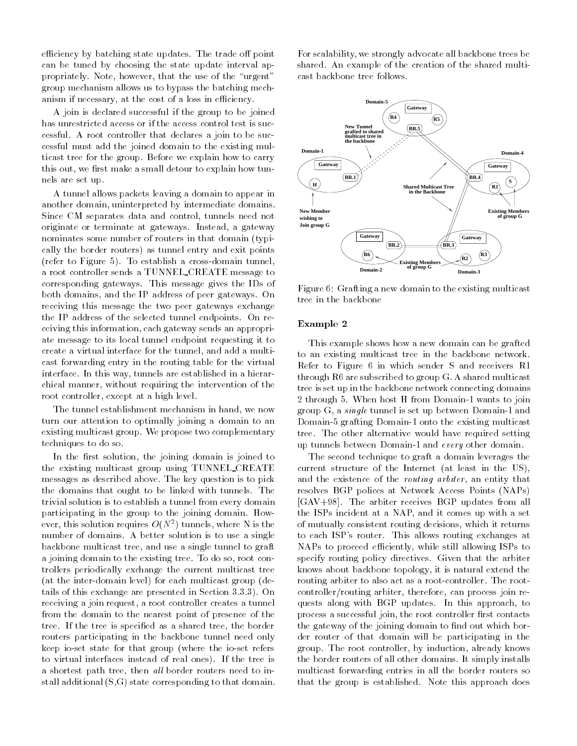efficiency by batching state updates. The trade off point can be tuned by choosing the state update interval appropriately. Note, however, that the use of the "urgent" group mechanism allows us to bypass the batching mechanism if necessary, at the cost of a loss in efficiency.

A join is declared successful if the group to be joined has unrestricted access or if the access control test is successful. A root controller that declares a join to be successful must add the joined domain to the existing multicast tree for the group. Before we explain how to carry this out, we first make a small detour to explain how tunnels are set up.

A tunnel allows packets leaving a domain to appear in another domain, uninterpreted by intermediate domains. Since CM separates data and control, tunnels need not originate or terminate at gateways. Instead, a gateway nominates some number of routers in that domain (typically the border routers) as tunnel entry and exit points (refer to Figure 5). To establish a cross-domain tunnel, a root controller sends a TUNNEL CREATE message to corresponding gateways. This message gives the IDs of both domains, and the IP address of peer gateways. On receiving this message the two peer gateways exchange the IP address of the selected tunnel endpoints. On receiving this information, each gateway sends an appropriate message to its local tunnel endpoint requesting it to create a virtual interface for the tunnel, and add a multicast forwarding entry in the routing table for the virtual interface. In this way, tunnels are established in a hierarchical manner, without requiring the intervention of the root controller, except at a high level.

The tunnel establishment mechanism in hand, we now turn our attention to optimally joining a domain to an existing multicast group. We propose two complementary techniques to do so.

In the first solution, the joining domain is joined to the existing multicast group using TUNNEL CREATE messages as described above. The key question is to pick the domains that ought to be linked with tunnels. The trivial solution is to establish a tunnel from every domain participating in the group to the joining domain. However, this solution requires  $O(N^+)$  tunnels, where N is the  $\blacksquare$ number of domains. A better solution is to use a single backbone multicast tree, and use a single tunnel to graft a joining domain to the existing tree. To do so, root controllers periodically exchange the current multicast tree (at the inter-domain level) for each multicast group (details of this exchange are presented in Section 3.3.3). On receiving a join request, a root controller creates a tunnel from the domain to the nearest point of presence of the tree. If the tree is specied as a shared tree, the border routers participating in the backbone tunnel need only keep io-set state for that group (where the io-set refers to virtual interfaces instead of real ones). If the tree is a shortest path tree, then all border routers need to install additional (S,G) state corresponding to that domain.

For scalability, we strongly advocate all backbone trees be shared. An example of the creation of the shared multicast backbone tree follows.



Figure 6: Grafting a new domain to the existing multicast tree in the backbone

## Example 2

This example shows how a new domain can be grafted to an existing multicast tree in the backbone network. Refer to Figure 6 in which sender S and receivers R1 through R6 are subscribed to group G. A shared multicast tree is set up in the backbone network connecting domains 2 through 5. When host H from Domain-1 wants to join group G, a single tunnel is set up between Domain-1 and Domain-5 grafting Domain-1 onto the existing multicast tree. The other alternative would have required setting up tunnels between Domain-1 and every other domain.

The second technique to graft a domain leverages the current structure of the Internet (at least in the US), and the existence of the *routing arbiter*, an entity that resolves BGP polices at Network Access Points (NAPs) [GAV+98]. The arbiter receives BGP updates from all the ISPs incident at a NAP, and it comes up with a set of mutually consistent routing decisions, which it returns to each ISP's router. This allows routing exchanges at NAPs to proceed efficiently, while still allowing ISPs to specify routing policy directives. Given that the arbiter knows about backbone topology, it is natural extend the routing arbiter to also act as a root-controller. The rootcontroller/routing arbiter, therefore, can process join requests along with BGP updates. In this approach, to process a successful join, the root controller first contacts the gateway of the joining domain to find out which border router of that domain will be participating in the group. The root controller, by induction, already knows the border routers of all other domains. It simply installs multicast forwarding entries in all the border routers so that the group is established. Note this approach does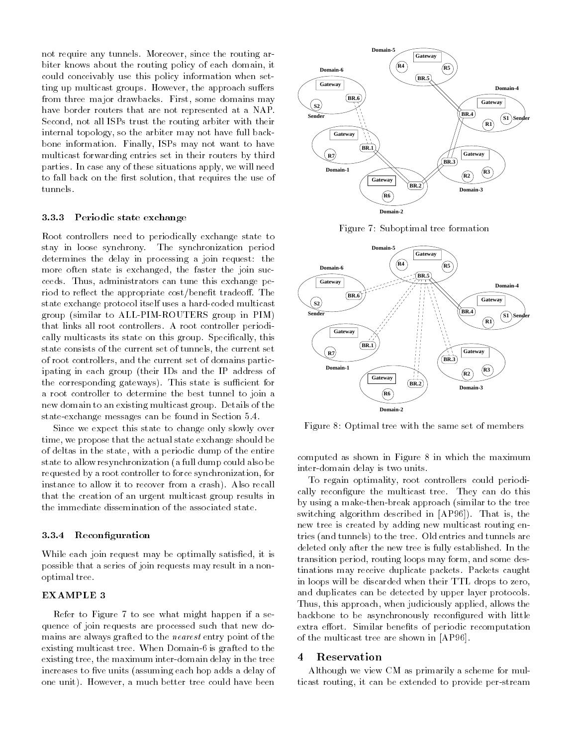not require any tunnels. Moreover, since the routing arbiter knows about the routing policy of each domain, it could conceivably use this policy information when setting up multicast groups. However, the approach suffers from three major drawbacks. First, some domains may have border routers that are not represented at a NAP. Second, not all ISPs trust the routing arbiter with their internal topology, so the arbiter may not have full backbone information. Finally, ISPs may not want to have multicast forwarding entries set in their routers by third parties. In case any of these situations apply, we will need to fall back on the first solution, that requires the use of tunnels.

## 3.3.3 Periodic state exchange

Root controllers need to periodically exchange state to stay in loose synchrony. The synchronization period determines the delay in processing a join request: the more often state is exchanged, the faster the join succeeds. Thus, administrators can tune this exchange period to reflect the appropriate cost/benefit tradeoff. The state exchange protocol itself uses a hard-coded multicast group (similar to ALL-PIM-ROUTERS group in PIM) that links all root controllers. A root controller periodically multicasts its state on this group. Specifically, this state consists of the current set of tunnels, the current set of root controllers, and the current set of domains participating in each group (their IDs and the IP address of the corresponding gateways). This state is sufficient for a root controller to determine the best tunnel to join a new domain to an existing multicast group. Details of the state-exchange messages can be found in Section 5.4.

Since we expect this state to change only slowly over time, we propose that the actual state exchange should be of deltas in the state, with a periodic dump of the entire state to allow resynchronization (a full dump could also be requested by a root controller to force synchronization, for instance to allow it to recover from a crash). Also recall that the creation of an urgent multicast group results in the immediate dissemination of the associated state.

### **Reconfiguration** 334

While each join request may be optimally satisfied, it is possible that a series of join requests may result in a nonoptimal tree.

## EXAMPLE 3

Refer to Figure 7 to see what might happen if a sequence of join requests are processed such that new domains are always grafted to the nearest entry point of the existing multicast tree. When Domain-6 is grafted to the existing tree, the maximum inter-domain delay in the tree increases to five units (assuming each hop adds a delay of one unit). However, a much better tree could have been



Figure 7: Suboptimal tree formation



Figure 8: Optimal tree with the same set of members

computed as shown in Figure 8 in which the maximum inter-domain delay is two units.

To regain optimality, root controllers could periodically reconfigure the multicast tree. They can do this by using a make-then-break approach (similar to the tree switching algorithm described in [AP96]). That is, the new tree is created by adding new multicast routing entries (and tunnels) to the tree. Old entries and tunnels are deleted only after the new tree is fully established. In the transition period, routing loops may form, and some destinations may receive duplicate packets. Packets caught in loops will be discarded when their TTL drops to zero, and duplicates can be detected by upper layer protocols. Thus, this approach, when judiciously applied, allows the backbone to be asynchronously recongured with little extra effort. Similar benefits of periodic recomputation of the multicast tree are shown in [AP96].

### $\overline{\mathbf{4}}$ **Reservation**

Although we view CM as primarily a scheme for multicast routing, it can be extended to provide per-stream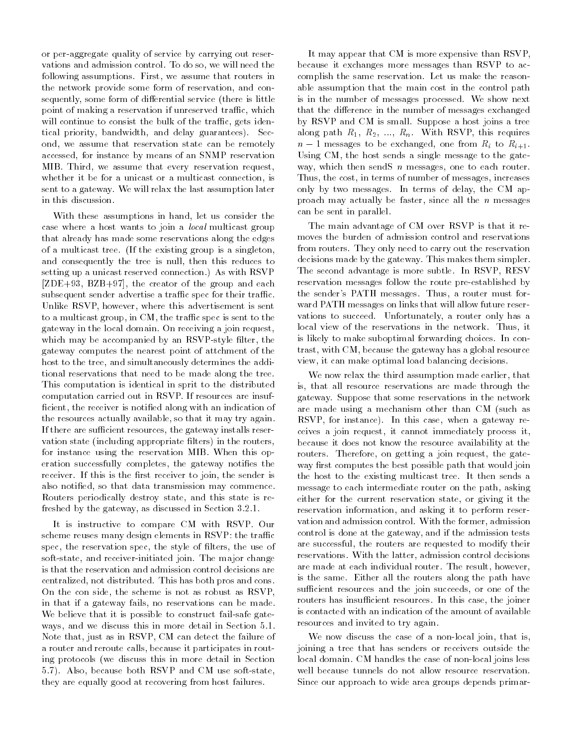or per-aggregate quality of service by carrying out reservations and admission control. To do so, we will need the following assumptions. First, we assume that routers in the network provide some form of reservation, and consequently, some form of differential service (there is little point of making a reservation if unreserved traffic, which will continue to consist the bulk of the traffic, gets identical priority, bandwidth, and delay guarantees). Second, we assume that reservation state can be remotely accessed, for instance by means of an SNMP reservation MIB. Third, we assume that every reservation request, whether it be for a unicast or a multicast connection, is sent to a gateway. We will relax the last assumption later in this discussion.

With these assumptions in hand, let us consider the case where a host wants to join a *local* multicast group that already has made some reservations along the edges of a multicast tree. (If the existing group is a singleton, and consequently the tree is null, then this reduces to setting up a unicast reserved connection.) As with RSVP  $[ZDE+93, BZB+97]$ , the creator of the group and each subsequent sender advertise a traffic spec for their traffic. Unlike RSVP, however, where this advertisement is sent to a multicast group, in CM, the traffic spec is sent to the gateway in the local domain. On receiving a join request, which may be accompanied by an RSVP-style filter, the gateway computes the nearest point of attchment of the host to the tree, and simultaneously determines the additional reservations that need to be made along the tree. This computation is identical in sprit to the distributed computation carried out in RSVP. If resources are insuf ficient, the receiver is notified along with an indication of the resources actually available, so that it may try again. If there are sufficient resources, the gateway installs reservation state (including appropriate filters) in the routers, for instance using the reservation MIB. When this operation successfully completes, the gateway notifies the receiver. If this is the first receiver to join, the sender is also notied, so that data transmission may commence. Routers periodically destroy state, and this state is refreshed by the gateway, as discussed in Section 3.2.1.

It is instructive to compare CM with RSVP. Our scheme reuses many design elements in  $\operatorname{RSVP}:$  the traffic spec, the reservation spec, the style of filters, the use of soft-state, and receiver-initiated join. The major change is that the reservation and admission control decisions are centralized, not distributed. This has both pros and cons. On the con side, the scheme is not as robust as RSVP, in that if a gateway fails, no reservations can be made. We believe that it is possible to construct fail-safe gate ways, and we discuss this in more detail in Section 5.1. Note that, just as in RSVP, CM can detect the failure of a router and reroute calls, because it participates in routing protocols (we discuss this in more detail in Section 5.7). Also, because both RSVP and CM use soft-state, they are equally good at recovering from host failures.

It may appear that CM is more expensive than RSVP, because it exchanges more messages than RSVP to accomplish the same reservation. Let us make the reasonable assumption that the main cost in the control path is in the number of messages processed. We show next that the difference in the number of messages exchanged by RSVP and CM is small. Suppose a host joins a tree along path  $R_1, R_2, ..., R_n$ . With RSVP, this requires  $n-1$  messages to be exchanged, one from  $R_i$  to  $R_{i+1}$ . Using CM, the host sends a single message to the gate way, which then sendS  $n$  messages, one to each router. Thus, the cost, in terms of number of messages, increases only by two messages. In terms of delay, the CM approach may actually be faster, since all the  $n$  messages can be sent in parallel.

The main advantage of CM over RSVP is that it re moves the burden of admission control and reservations from routers. They only need to carry out the reservation decisions made by the gateway. This makes them simpler. The second advantage is more subtle. In RSVP, RESV reservation messages follow the route pre-established by the sender's PATH messages. Thus, a router must for ward PATH messages on links that will allow future reservations to succeed. Unfortunately, a router only has a local view of the reservations in the network. Thus, it is likely to make suboptimal forwarding choices. In contrast, with CM, because the gateway has a global resource view, it can make optimal load balancing decisions.

We now relax the third assumption made earlier, that is, that all resource reservations are made through the gateway. Suppose that some reservations in the network are made using a mechanism other than CM (such as RSVP, for instance). In this case, when a gateway receives a join request, it cannot immediately process it, because it does not know the resource availability at the routers. Therefore, on getting a join request, the gate way first computes the best possible path that would join the host to the existing multicast tree. It then sends a message to each intermediate router on the path, asking either for the current reservation state, or giving it the reservation information, and asking it to perform reservation and admission control. With the former, admission control is done at the gateway, and if the admission tests are successful, the routers are requested to modify their reservations. With the latter, admission control decisions are made at each individual router. The result, however, is the same. Either all the routers along the path have sufficient resources and the join succeeds, or one of the routers has insufficient resources. In this case, the joiner is contacted with an indication of the amount of available resources and invited to try again.

We now discuss the case of a non-local join, that is, joining a tree that has senders or receivers outside the local domain. CM handles the case of non-local joins less well because tunnels do not allow resource reservation. Since our approach to wide area groups depends primar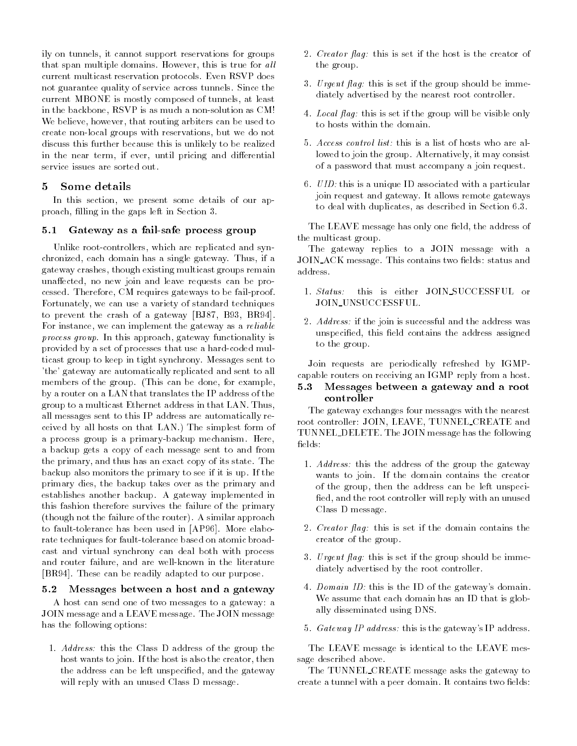ily on tunnels, it cannot support reservations for groups that span multiple domains. However, this is true for  $all$ current multicast reservation protocols. Even RSVP does not guarantee quality of service across tunnels. Since the current MBONE is mostly composed of tunnels, at least in the backbone, RSVP is as much a non-solution as CM! We believe, however, that routing arbiters can be used to create non-local groups with reservations, but we do not discuss this further because this is unlikely to be realized in the near term, if ever, until pricing and differential service issues are sorted out.

### $\bf{5}$ Some details

In this section, we present some details of our approach, filling in the gaps left in Section 3.

### 5.1Gateway as a fail-safe process group

Unlike root-controllers, which are replicated and synchronized, each domain has a single gateway. Thus, if a gateway crashes, though existing multicast groups remain unaffected, no new join and leave requests can be processed. Therefore, CM requires gateways to be fail-proof. Fortunately, we can use a variety of standard techniques to prevent the crash of a gateway [BJ87, B93, BR94]. For instance, we can implement the gateway as a *reliable* process group. In this approach, gateway functionality is provided by a set of processes that use a hard-coded multicast group to keep in tight synchrony. Messages sent to 'the' gateway are automatically replicated and sent to all members of the group. (This can be done, for example, by a router on a LAN that translates the IP address of the group to a multicast Ethernet address in that LAN. Thus, all messages sent to this IP address are automatically received by all hosts on that LAN.) The simplest form of a process group is a primary-backup mechanism. Here, a backup gets a copy of each message sent to and from the primary, and thus has an exact copy of its state. The backup also monitors the primary to see if it is up. If the primary dies, the backup takes over as the primary and establishes another backup. A gateway implemented in this fashion therefore survives the failure of the primary (though not the failure of the router). A similar approach to fault-tolerance has been used in [AP96]. More elaborate techniques for fault-tolerance based on atomic broadcast and virtual synchrony can deal both with process and router failure, and are well-known in the literature [BR94]. These can be readily adapted to our purpose.

#### 5.2Messages between a host and a gateway

A host can send one of two messages to a gateway: a JOIN message and a LEAVE message. The JOIN message has the following options:

1. Address: this the Class D address of the group the host wants to join. If the host is also the creator, then the address can be left unspecified, and the gateway will reply with an unused Class D message.

- 2. Creator flag: this is set if the host is the creator of the group.
- 3. Urgent flag: this is set if the group should be immediately advertised by the nearest root controller.
- 4. Local flag: this is set if the group will be visible only to hosts within the domain.
- 5. Access control list: this is a list of hosts who are allowed to join the group. Alternatively, it may consist of a password that must accompany a join request.
- 6. UID: this is a unique ID associated with a particular join request and gateway. It allows remote gateways to deal with duplicates, as described in Section 6.3.

The LEAVE message has only one field, the address of the multicast group.

The gateway replies to a JOIN message with a JOIN\_ACK message. This contains two fields: status and

- 1. Status: this is either JOIN SUCCESSFUL or JOIN UNSUCCESSFUL.
- 2. Address: if the join is successful and the address was unspecified, this field contains the address assigned to the group.

Join requests are periodically refreshed by IGMPcapable routers on receiving an IGMP reply from a host.

### Messages between a gateway and a root  $5.3$ controller

The gateway exchanges four messages with the nearest root controller: JOIN, LEAVE, TUNNEL CREATE and TUNNEL DELETE. The JOIN message has the following fields:

- 1. Address: this the address of the group the gateway wants to join. If the domain contains the creator of the group, then the address can be left unspeci fied, and the root controller will reply with an unused Class D message.
- 2. Creator flag: this is set if the domain contains the creator of the group.
- 3. Urgent flag: this is set if the group should be immediately advertised by the root controller.
- 4. Domain ID: this is the ID of the gateway's domain. We assume that each domain has an ID that is globally disseminated using DNS.
- 5. Gateway IP address: this is the gateway's IP address.

The LEAVE message is identical to the LEAVE message described above.

The TUNNEL CREATE message asks the gateway to create a tunnel with a peer domain. It contains two fields: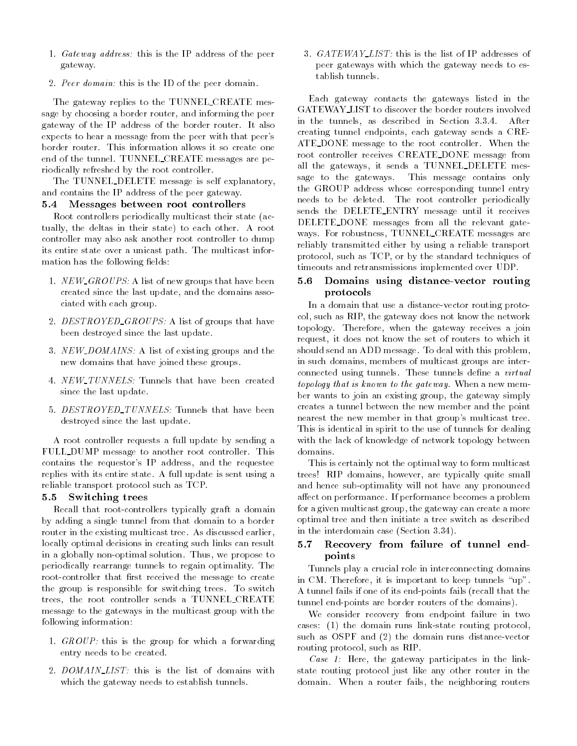- 1. Gateway address: this is the IP address of the peer gateway.
- 2. Peer domain: this is the ID of the peer domain.

The gateway replies to the TUNNEL CREATE message by choosing a border router, and informing the peer gateway of the IP address of the border router. It also expects to hear a message from the peer with that peer's border router. This information allows it so create one end of the tunnel. TUNNEL CREATE messages are periodically refreshed by the root controller.

The TUNNEL DELETE message is self explanatory, and contains the IP address of the peer gateway.

### 5.4Messages between root controllers

Root controllers periodically multicast their state (actually, the deltas in their state) to each other. A root controller may also ask another root controller to dump its entire state over a unicast path. The multicast information has the following fields:

- 1. NEW\_GROUPS: A list of new groups that have been created since the last update, and the domains associated with each group.
- 2. DESTROYED\_GROUPS: A list of groups that have been destroyed since the last update.
- 3. NEW DOMAINS: A list of existing groups and the new domains that have joined these groups.
- 4. NEW\_TUNNELS: Tunnels that have been created since the last update.
- 5. DESTROYED\_TUNNELS: Tunnels that have been destroyed since the last update.

A root controller requests a full update by sending a FULL DUMP message to another root controller. This contains the requestor's IP address, and the requestee replies with its entire state. A full update is sent using a reliable transport protocol such as TCP.

### 5.5Switching trees

Recall that root-controllers typically graft a domain by adding a single tunnel from that domain to a border router in the existing multicast tree. As discussed earlier, locally optimal decisions in creating such links can result in a globally non-optimal solution. Thus, we propose to periodically rearrange tunnels to regain optimality. The root-controller that first received the message to create the group is responsible for switching trees. To switch trees, the root controller sends a TUNNEL CREATE message to the gateways in the multicast group with the following information:

- 1. GROUP: this is the group for which a forwarding entry needs to be created.
- 2. DOMAIN\_LIST: this is the list of domains with which the gateway needs to establish tunnels.

3. GATEWAY\_LIST: this is the list of IP addresses of peer gateways with which the gateway needs to establish tunnels.

Each gateway contacts the gateways listed in the GATEWAY LIST to discover the border routers involved in the tunnels, as described in Section 3.3.4. After creating tunnel endpoints, each gateway sends a CRE-ATE DONE message to the root controller. When the root controller receives CREATE DONE message from all the gateways, it sends a TUNNEL DELETE message to the gateways. This message contains only the GROUP address whose corresponding tunnel entry needs to be deleted. The root controller periodically sends the DELETE ENTRY message until it receives DELETE DONE messages from all the relevant gate ways. For robustness, TUNNEL CREATE messages are reliably transmitted either by using a reliable transport protocol, such as TCP, or by the standard techniques of timeouts and retransmissions implemented over UDP.

### 5.6 Domains using distance-vector routing protocols

In a domain that use a distance-vector routing protocol, such as RIP, the gateway does not know the network topology. Therefore, when the gateway receives a join request, it does not know the set of routers to which it should send an ADD message. To deal with this problem, in such domains, members of multicast groups are interconnected using tunnels. These tunnels define a virtual topology that is known to the gateway. When a new member wants to join an existing group, the gateway simply creates a tunnel between the new member and the point nearest the new member in that group's multicast tree. This is identical in spirit to the use of tunnels for dealing with the lack of knowledge of network topology between domains.

This is certainly not the optimal way to form multicast trees! RIP domains, however, are typically quite small and hence sub-optimality will not have any pronounced affect on performance. If performance becomes a problem for a given multicast group, the gateway can create a more optimal tree and then initiate a tree switch as described in the interdomain case (Section 3.34).

### 5.7 Recovery from failure of tunnel endpoints

Tunnels play a crucial role in interconnecting domains in CM. Therefore, it is important to keep tunnels "up". A tunnel fails if one of its end-points fails (recall that the tunnel end-points are border routers of the domains).

We consider recovery from endpoint failure in two cases: (1) the domain runs link-state routing protocol, such as OSPF and (2) the domain runs distance-vector routing protocol, such as RIP.

Case 1: Here, the gateway participates in the linkstate routing protocol just like any other router in the domain. When a router fails, the neighboring routers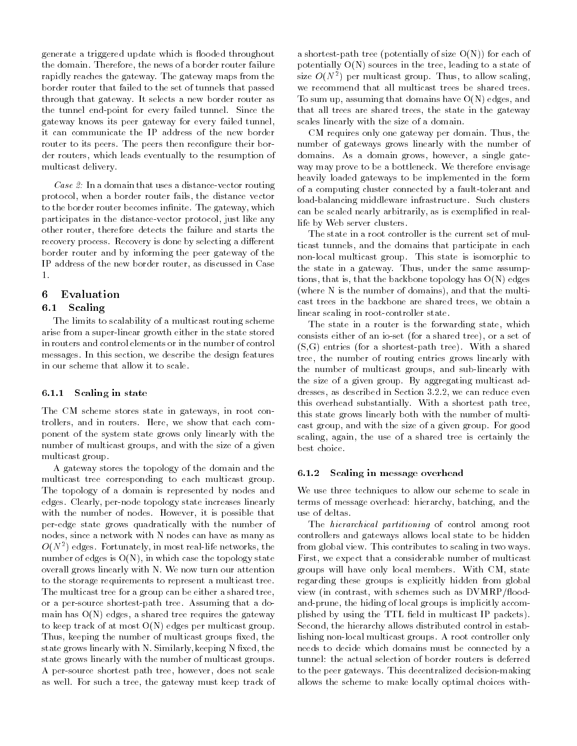generate a triggered update which is flooded throughout the domain. Therefore, the news of a border router failure rapidly reaches the gateway. The gateway maps from the border router that failed to the set of tunnels that passed through that gateway. It selects a new border router as the tunnel end-point for every failed tunnel. Since the gateway knows its peer gateway for every failed tunnel, it can communicate the IP address of the new border router to its peers. The peers then reconfigure their border routers, which leads eventually to the resumption of multicast delivery.

Case 2: In a domain that uses a distance-vector routing protocol, when a border router fails, the distance vector to the border router becomes infinite. The gateway, which participates in the distance-vector protocol, just like any other router, therefore detects the failure and starts the recovery process. Recovery is done by selecting a different border router and by informing the peer gateway of the IP address of the new border router, as discussed in Case 1.

## 6 Evaluation

### 6.1Scaling

The limits to scalability of a multicast routing scheme arise from a super-linear growth either in the state stored in routers and control elements or in the number of control messages. In this section, we describe the design features in our scheme that allow it to scale.

## 6.1.1 Scaling in state

The CM scheme stores state in gateways, in root controllers, and in routers. Here, we show that each component of the system state grows only linearly with the number of multicast groups, and with the size of a given multicast group.

A gateway stores the topology of the domain and the multicast tree corresponding to each multicast group. The topology of a domain is represented by nodes and edges. Clearly, per-node topology state increases linearly with the number of nodes. However, it is possible that per-edge state grows quadratically with the number of nodes, since a network with N nodes can have as many as O(N<sup>2</sup> ) edges. Fortunately, in most real-life networks, the number of edges is  $O(N)$ , in which case the topology state overall grows linearly with N. We now turn our attention to the storage requirements to represent a multicast tree. The multicast tree for a group can be either a shared tree, or a per-source shortest-path tree. Assuming that a domain has  $O(N)$  edges, a shared tree requires the gateway to keep track of at most  $O(N)$  edges per multicast group. Thus, keeping the number of multicast groups fixed, the state grows linearly with N. Similarly, keeping N fixed, the state grows linearly with the number of multicast groups. A per-source shortest path tree, however, does not scale as well. For such a tree, the gateway must keep track of

a shortest-path tree (potentially of size  $O(N)$ ) for each of potentially  $O(N)$  sources in the tree, leading to a state of  $s$ ize  $O(N^-)$  per multicast group. Thus, to allow scaling, we recommend that all multicast trees be shared trees. To sum up, assuming that domains have  $O(N)$  edges, and that all trees are shared trees, the state in the gateway scales linearly with the size of a domain.

CM requires only one gateway per domain. Thus, the number of gateways grows linearly with the number of domains. As a domain grows, however, a single gate way may prove to be a bottleneck. We therefore envisage heavily loaded gateways to be implemented in the form of a computing cluster connected by a fault-tolerant and load-balancing middleware infrastructure. Such clusters can be scaled nearly arbitrarily, as is exemplified in reallife by Web server clusters.

The state in a root controller is the current set of multicast tunnels, and the domains that participate in each non-local multicast group. This state is isomorphic to the state in a gateway. Thus, under the same assumptions, that is, that the backbone topology has O(N) edges (where N is the number of domains), and that the multicast trees in the backbone are shared trees, we obtain a linear scaling in root-controller state.

The state in a router is the forwarding state, which consists either of an io-set (for a shared tree), or a set of (S,G) entries (for a shortest-path tree). With a shared tree, the number of routing entries grows linearly with the number of multicast groups, and sub-linearly with the size of a given group. By aggregating multicast addresses, as described in Section 3.2.2, we can reduce even this overhead substantially. With a shortest path tree, this state grows linearly both with the number of multicast group, and with the size of a given group. For good scaling, again, the use of a shared tree is certainly the best choice.

## 6.1.2 Scaling in message overhead

We use three techniques to allow our scheme to scale in terms of message overhead: hierarchy, batching, and the use of deltas.

The hierarchical partitioning of control among root controllers and gateways allows local state to be hidden from global view. This contributes to scaling in two ways. First, we expect that a considerable number of multicast groups will have only local members. With CM, state regarding these groups is explicitly hidden from global view (in contrast, with schemes such as DVMRP/floodand-prune, the hiding of local groups is implicitly accomplished by using the TTL field in multicast IP packets). Second, the hierarchy allows distributed control in establishing non-local multicast groups. A root controller only needs to decide which domains must be connected by a tunnel: the actual selection of border routers is deferred to the peer gateways. This decentralized decision-making allows the scheme to make locally optimal choices with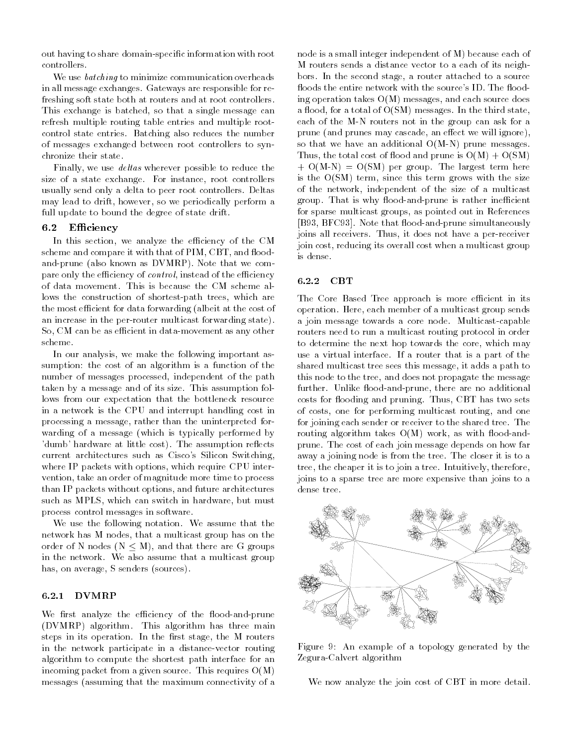out having to share domain-specic information with root controllers.

We use  $batching$  to minimize communication overheads in all message exchanges. Gateways are responsible for refreshing soft state both at routers and at root controllers. This exchange is batched, so that a single message can refresh multiple routing table entries and multiple rootcontrol state entries. Batching also reduces the number of messages exchanged between root controllers to synchronize their state.

Finally, we use *deltas* wherever possible to reduce the size of a state exchange. For instance, root controllers usually send only a delta to peer root controllers. Deltas may lead to drift, however, so we periodically perform a full update to bound the degree of state drift.

### $6.2\,$ Efficiency

In this section, we analyze the efficiency of the CM scheme and compare it with that of PIM, CBT, and floodand-prune (also known as DVMRP). Note that we compare only the efficiency of control, instead of the efficiency of data movement. This is because the CM scheme allows the construction of shortest-path trees, which are the most efficient for data forwarding (albeit at the cost of an increase in the per-router multicast forwarding state). So, CM can be as efficient in data-movement as any other scheme.

In our analysis, we make the following important assumption: the cost of an algorithm is a function of the number of messages processed, independent of the path taken by a message and of its size. This assumption follows from our expectation that the bottleneck resource in a network is the CPU and interrupt handling cost in processing a message, rather than the uninterpreted for warding of a message (which is typically performed by 'dumb' hardware at little cost). The assumption reflects current architectures such as Cisco's Silicon Switching, where IP packets with options, which require CPU intervention, take an order of magnitude more time to process than IP packets without options, and future architectures such as MPLS, which can switch in hardware, but must process control messages in software.

We use the following notation. We assume that the network has M nodes, that a multicast group has on the order of N nodes  $(N < M)$ , and that there are G groups in the network. We also assume that a multicast group has, on average, S senders (sources).

## 6.2.1 DVMRP

We first analyze the efficiency of the flood-and-prune (DVMRP) algorithm. This algorithm has three main steps in its operation. In the first stage, the M routers in the network participate in a distance-vector routing algorithm to compute the shortest path interface for an incoming packet from a given source. This requires  $O(M)$ messages (assuming that the maximum connectivity of a

node is a small integer independent of M) because each of M routers sends a distance vector to a each of its neighbors. In the second stage, a router attached to a source floods the entire network with the source's ID. The flooding operation takes  $O(M)$  messages, and each source does a flood, for a total of  $O(SM)$  messages. In the third state, each of the M-N routers not in the group can ask for a prune (and prunes may cascade, an effect we will ignore), so that we have an additional  $O(M-N)$  prune messages. Thus, the total cost of flood and prune is  $O(M) + O(SM)$  $+$  O(M-N) = O(SM) per group. The largest term here is the O(SM) term, since this term grows with the size of the network, independent of the size of a multicast group. That is why flood-and-prune is rather inefficient for sparse multicast groups, as pointed out in References [B93, BFC93]. Note that flood-and-prune simultaneously joins all receivers. Thus, it does not have a per-receiver join cost, reducing its overall cost when a multicast group is dense.

## 6.2.2 CBT

The Core Based Tree approach is more efficient in its operation. Here, each member of a multicast group sends a join message towards a core node. Multicast-capable routers need to run a multicast routing protocol in order to determine the next hop towards the core, which may use a virtual interface. If a router that is a part of the shared multicast tree sees this message, it adds a path to this node to the tree, and does not propagate the message further. Unlike flood-and-prune, there are no additional costs for flooding and pruning. Thus, CBT has two sets of costs, one for performing multicast routing, and one for joining each sender or receiver to the shared tree. The routing algorithm takes  $O(M)$  work, as with flood-andprune. The cost of each join message depends on how far away a joining node is from the tree. The closer it is to a tree, the cheaper it is to join a tree. Intuitively, therefore, joins to a sparse tree are more expensive than joins to a dense tree.



Figure 9: An example of a topology generated by the Zegura-Calvert algorithm

We now analyze the join cost of CBT in more detail.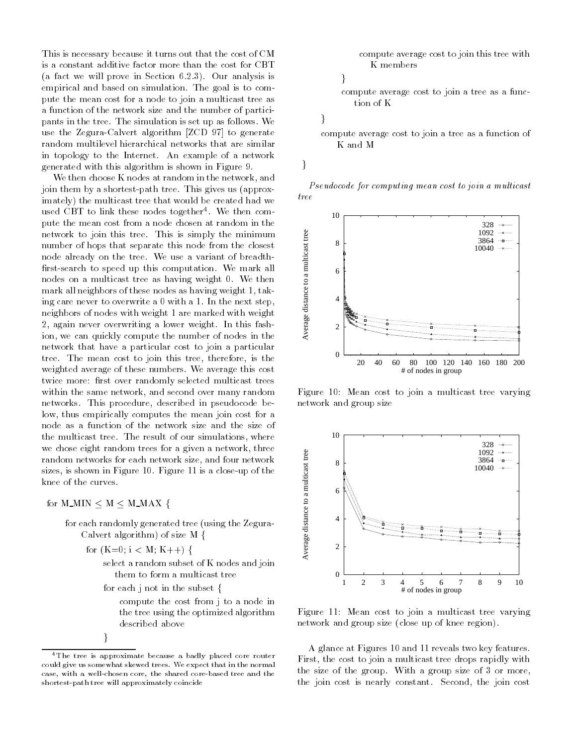This is necessary because it turns out that the cost of CM is a constant additive factor more than the cost for CBT (a fact we will prove in Section 6.2.3). Our analysis is empirical and based on simulation. The goal is to compute the mean cost for a node to join a multicast tree as a function of the network size and the number of participants in the tree. The simulation is set up as follows. We use the Zegura-Calvert algorithm [ZCD 97] to generate random multilevel hierarchical networks that are similar in topology to the Internet. An example of a network generated with this algorithm is shown in Figure 9.

We then choose K nodes at random in the network, and join them by a shortest-path tree. This gives us (approximately) the multicast tree that would be created had we used UDT to link these houes together . We then compute the mean cost from a node chosen at random in the network to join this tree. This is simply the minimum<br>number of hops that separate this node from the closest<br>node already on the tree. We use a variant of breadth-<br>first-search to speed up this computation. We mark all<br>no number of hops that separate this node from the closest node already on the tree. We use a variant of breadth first-search to speed up this computation. We mark all nodes on a multicast tree as having weight 0. We then mark all neighbors of these nodes as having weight 1, taking care never to overwrite a 0 with a 1. In the next step, neighbors of nodes with weight 1 are marked with weight 2, again never overwriting a lower weight. In this fashion, we can quickly compute the number of nodes in the network that have a particular cost to join a particular tree. The mean cost to join this tree, therefore, is the weighted average of these numbers. We average this cost twice more: first over randomly selected multicast trees within the same network, and second over many random networks. This procedure, described in pseudocode below, thus empirically computes the mean join cost for a node as a function of the network size and the size of the multicast tree. The result of our simulations, where we chose eight random trees for a given a network, three random networks for each network size, and four network sizes, is shown in Figure 10. Figure 11 is a close-up of the knee of the curves.

for  $M_MIN \leq M \leq M_MAX$  {

 $\mathcal{E}$ 

for each randomly generated tree (using the Zegura-Calvert algorithm) of size M f

```
for (K=0; i < M; K++) {
```
select a random subset of K nodes and join them to form a multicast tree

for each j not in the subset f

compute the cost from j to a node in the tree using the optimized algorithm described above

```
compute average cost to join this tree with
             K members
     \mathcal{E}compute average cost to join a tree as a func-
        tion of K
\{
```
compute average cost to join a tree as a function of K and M

```
\mathcal{E}
```
Pseudocode for computing mean cost to join a multicast tree



Figure 10: Mean cost to join a multicast tree varying network and group size



Figure 11: Mean cost to join a multicast tree varying network and group size (close up of knee region).

A glance at Figures 10 and 11 reveals two key features. First, the cost to join a multicast tree drops rapidly with the size of the group. With a group size of 3 or more, the join cost is nearly constant. Second, the join cost

<sup>4</sup>The tree is approximate because a badly placed core router could give us somewhat skewed trees. We expect that in the normal case, with a well-chosen core, the shared core-based tree and the shortest-path tree will approximately coincide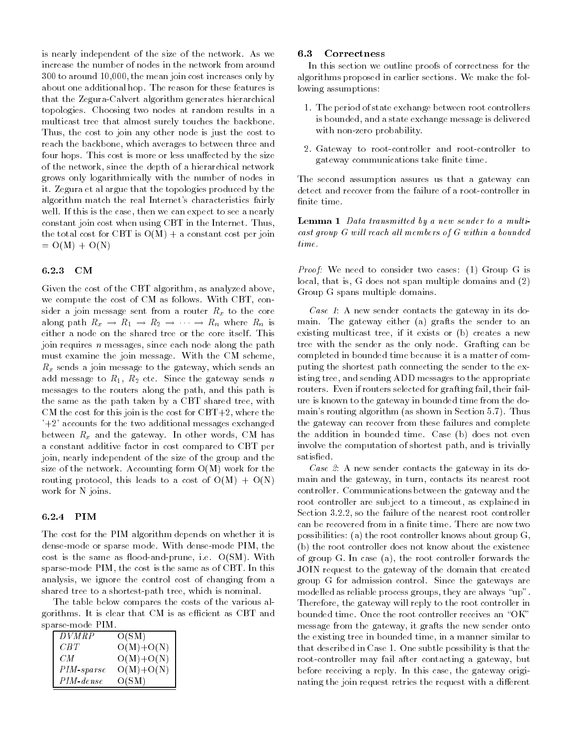is nearly independent of the size of the network. As we increase the number of nodes in the network from around 300 to around 10,000, the mean join cost increases only by about one additional hop. The reason for these features is that the Zegura-Calvert algorithm generates hierarchical topologies. Choosing two nodes at random results in a multicast tree that almost surely touches the backbone. Thus, the cost to join any other node is just the cost to reach the backbone, which averages to between three and four hops. This cost is more or less unaffected by the size of the network, since the depth of a hierarchical network grows only logarithmically with the number of nodes in it. Zegura et al argue that the topologies produced by the algorithm match the real Internet's characteristics fairly well. If this is the case, then we can expect to see a nearly constant join cost when using CBT in the Internet. Thus, the total cost for CBT is  $O(M) + a$  constant cost per join  $= O(M) + O(N)$ 

## 6.2.3 CM

Given the cost of the CBT algorithm, as analyzed above, we compute the cost of CM as follows. With CBT, consider a join message sent from a router  $R_x$  to the core along path  $R_x \rightarrow R_1 \rightarrow R_2 \rightarrow \cdots \rightarrow R_n$  where  $R_n$  is either a node on the shared tree or the core itself. This join requires <sup>n</sup> messages, since each node along the path must examine the join message. With the CM scheme,  $R_x$  sends a join message to the gateway, which sends an add message to  $R_1$ ,  $R_2$  etc. Since the gateway sends n messages to the routers along the path, and this path is the same as the path taken by a CBT shared tree, with CM the cost for this join is the cost for  $\mathrm{CBT}{+}2$ , where the '+2' accounts for the two additional messages exchanged between  $R_x$  and the gateway. In other words, CM has a constant additive factor in cost compared to CBT per join, nearly independent of the size of the group and the size of the network. Accounting form  $O(M)$  work for the routing protocol, this leads to a cost of  $O(M) + O(N)$ work for N joins.

## 6.2.4 PIM

The cost for the PIM algorithm depends on whether it is dense-mode or sparse mode. With dense-mode PIM, the cost is the same as flood-and-prune, i.e.  $O(SM)$ . With sparse-mode PIM, the cost is the same as of CBT. In this analysis, we ignore the control cost of changing from a shared tree to a shortest-path tree, which is nominal.

The table below compares the costs of the various algorithms. It is clear that CM is as efficient as CBT and sparse-mode PIM.

| DVMRP        | O(SM)         |
|--------------|---------------|
| CBT          | $O(M) + O(N)$ |
| CМ           | $O(M)+O(N)$   |
| PIM-sparse   | $O(M)+O(N)$   |
| $PIM$ -dense | O(SM)         |

### 6.3Correctness

In this section we outline proofs of correctness for the algorithms proposed in earlier sections. We make the following assumptions:

- 1. The period of state exchange between root controllers is bounded, and a state exchange message is delivered with non-zero probability.
- 2. Gateway to root-controller and root-controller to gateway communications take finite time.

The second assumption assures us that a gateway can detect and recover from the failure of a root-controller in finite time.

Lemma 1 Data transmitted by a new sender to a multicast group  $G$  will reach all members of  $G$  within a bounded time.

Proof: We need to consider two cases: (1) Group G is local, that is, G does not span multiple domains and (2) Group G spans multiple domains.

Case 1: A new sender contacts the gateway in its domain. The gateway either (a) grafts the sender to an existing multicast tree, if it exists or (b) creates a new tree with the sender as the only node. Grafting can be completed in bounded time because it is a matter of computing the shortest path connecting the sender to the existing tree, and sending ADD messages to the appropriate routers. Even if routers selected for grafting fail, their failure is known to the gateway in bounded time from the domain's routing algorithm (as shown in Section 5.7). Thus the gateway can recover from these failures and complete the addition in bounded time. Case (b) does not even involve the computation of shortest path, and is trivially satisfied.

Case 2: A new sender contacts the gateway in its domain and the gateway, in turn, contacts its nearest root controller. Communications between the gateway and the root controller are subject to a timeout, as explained in Section 3.2.2, so the failure of the nearest root controller can be recovered from in a finite time. There are now two possibilities: (a) the root controller knows about group G, (b) the root controller does not know about the existence of group G. In case (a), the root controller forwards the JOIN request to the gateway of the domain that created group G for admission control. Since the gateways are modelled as reliable process groups, they are always "up". Therefore, the gateway will reply to the root controller in bounded time. Once the root controller receives an "OK" message from the gateway, it grafts the new sender onto the existing tree in bounded time, in a manner similar to that described in Case 1. One subtle possibility is that the root-controller may fail after contacting a gateway, but before receiving a reply. In this case, the gateway originating the join request retries the request with a different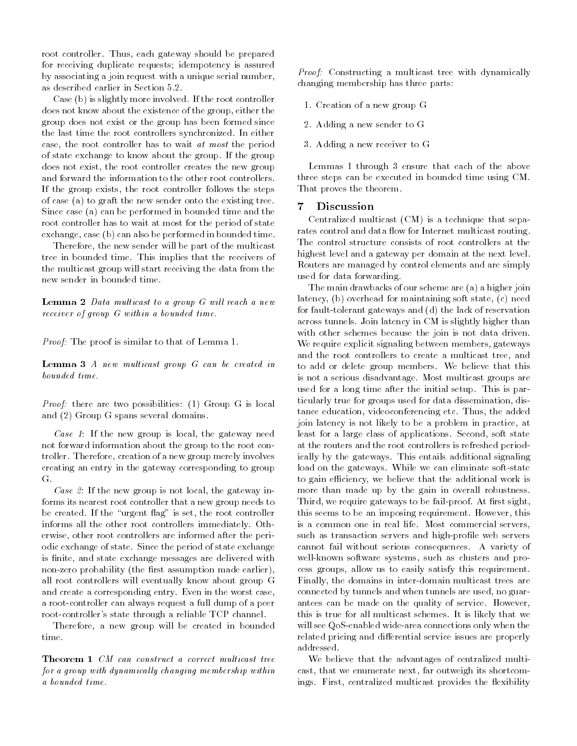root controller. Thus, each gateway should be prepared for receiving duplicate requests; idempotency is assured by associating a join request with a unique serial number, as described earlier in Section 5.2.

Case (b) is slightly more involved. If the root controller does not know about the existence of the group, either the group does not exist or the group has been formed since the last time the root controllers synchronized. In either case, the root controller has to wait at most the period of state exchange to know about the group. If the group does not exist, the root controller creates the new group and forward the information to the other root controllers. If the group exists, the root controller follows the steps of case (a) to graft the new sender onto the existing tree. Since case (a) can be performed in bounded time and the root controller has to wait at most for the period of state exchange, case (b) can also be performed in bounded time.

Therefore, the new sender will be part of the multicast tree in bounded time. This implies that the receivers of the multicast group will start receiving the data from the new sender in bounded time.

**Lemma 2** Data multicast to a group  $G$  will reach a new receiver of group G within a bounded time.

Proof: The proof is similar to that of Lemma 1.

Lemma 3 A new multicast group G can be created in bounded time.

*Proof:* there are two possibilities: (1) Group G is local and (2) Group G spans several domains.

Case 1: If the new group is local, the gateway need not forward information about the group to the root controller. Therefore, creation of a new group merely involves creating an entry in the gateway corresponding to group  $G$ .

Case 2: If the new group is not local, the gateway informs its nearest root controller that a new group needs to be created. If the "urgent flag" is set, the root controller informs all the other root controllers immediately. Otherwise, other root controllers are informed after the periodic exchange of state. Since the period of state exchange is finite, and state exchange messages are delivered with non-zero probability (the first assumption made earlier), all root controllers will eventually know about group G and create a corresponding entry. Even in the worst case, a root-controller can always request a full dump of a peer root-controller's state through a reliable TCP channel.

Therefore, a new group will be created in bounded time.

Theorem 1 CM can construct a correct multicast tree for a group with dynamical ly changing membership within a bounded time.

Proof: Constructing a multicast tree with dynamically changing membership has three parts:

- 1. Creation of a new group G
- 2. Adding a new sender to G
- 3. Adding a new receiver to G

Lemmas 1 through 3 ensure that each of the above three steps can be executed in bounded time using CM. That proves the theorem.

### 7 Discussion

Centralized multicast (CM) is a technique that separates control and data flow for Internet multicast routing. The control structure consists of root controllers at the highest level and a gateway per domain at the next level. Routers are managed by control elements and are simply used for data forwarding.

The main drawbacks of our scheme are (a) a higher join latency, (b) overhead for maintaining soft state, (c) need for fault-tolerant gateways and (d) the lack of reservation across tunnels. Join latency in CM is slightly higher than with other schemes because the join is not data driven. We require explicit signaling between members, gateways and the root controllers to create a multicast tree, and to add or delete group members. We believe that this is not a serious disadvantage. Most multicast groups are used for a long time after the initial setup. This is particularly true for groups used for data dissemination, distance education, videoconferencing etc. Thus, the added join latency is not likely to be a problem in practice, at least for a large class of applications. Second, soft state at the routers and the root controllers is refreshed periodically by the gateways. This entails additional signaling load on the gateways. While we can eliminate soft-state to gain efficiency, we believe that the additional work is more than made up by the gain in overall robustness. Third, we require gateways to be fail-proof. At first sight, this seems to be an imposing requirement. However, this is a common one in real life. Most commercial servers, such as transaction servers and high-profile web servers cannot fail without serious consequences. A variety of well-known software systems, such as clusters and process groups, allow us to easily satisfy this requirement. Finally, the domains in inter-domain multicast trees are connected by tunnels and when tunnels are used, no guarantees can be made on the quality of service. However, this is true for all multicast schemes. It is likely that we will see QoS-enabled wide-area connections only when the related pricing and differential service issues are properly addressed.

We believe that the advantages of centralized multicast, that we enumerate next, far outweigh its shortcomings. First, centralized multicast provides the flexibility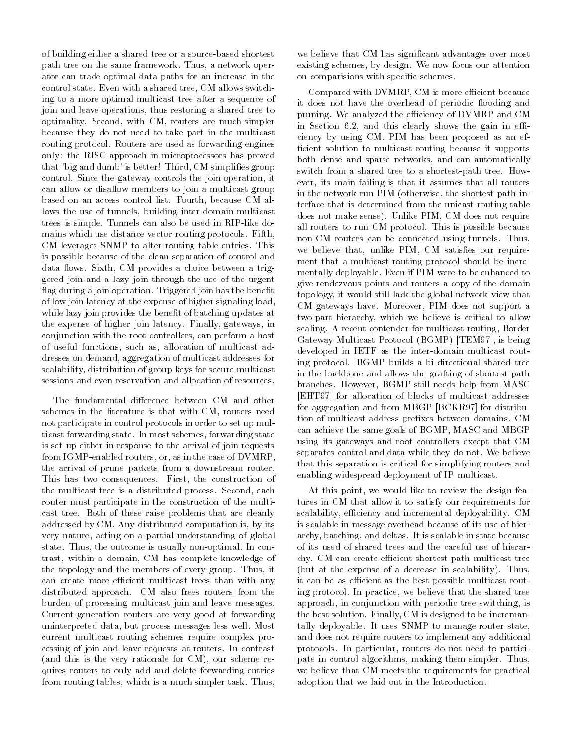of building either a shared tree or a source-based shortest path tree on the same framework. Thus, a network operator can trade optimal data paths for an increase in the control state. Even with a shared tree, CM allows switching to a more optimal multicast tree after a sequence of join and leave operations, thus restoring a shared tree to optimality. Second, with CM, routers are much simpler because they do not need to take part in the multicast routing protocol. Routers are used as forwarding engines only: the RISC approach in microprocessors has proved that 'big and dumb' is better! Third, CM simplifies group control. Since the gateway controls the join operation, it can allow or disallow members to join a multicast group based on an access control list. Fourth, because CM allows the use of tunnels, building inter-domain multicast trees is simple. Tunnels can also be used in RIP-like domains which use distance vector routing protocols. Fifth, CM leverages SNMP to alter routing table entries. This is possible because of the clean separation of control and data flows. Sixth, CM provides a choice between a triggered join and a lazy join through the use of the urgent flag during a join operation. Triggered join has the benefit of low join latency at the expense of higher signaling load, while lazy join provides the benefit of batching updates at the expense of higher join latency. Finally, gateways, in conjunction with the root controllers, can perform a host of useful functions, such as, allocation of multicast addresses on demand, aggregation of multicast addresses for scalability, distribution of group keys for secure multicast sessions and even reservation and allocation of resources.

The fundamental difference between CM and other schemes in the literature is that with CM, routers need not participate in control protocols in order to set up multicast forwarding state. In most schemes, forwarding state is set up either in response to the arrival of join requests from IGMP-enabled routers, or, as in the case of DVMRP, the arrival of prune packets from a downstream router. This has two consequences. First, the construction of the multicast tree is a distributed process. Second, each router must participate in the construction of the multicast tree. Both of these raise problems that are cleanly addressed by CM. Any distributed computation is, by its very nature, acting on a partial understanding of global state. Thus, the outcome is usually non-optimal. In contrast, within a domain, CM has complete knowledge of the topology and the members of every group. Thus, it can create more efficient multicast trees than with any distributed approach. CM also frees routers from the burden of processing multicast join and leave messages. Current-generation routers are very good at forwarding uninterpreted data, but process messages less well. Most current multicast routing schemes require complex processing of join and leave requests at routers. In contrast (and this is the very rationale for CM), our scheme requires routers to only add and delete forwarding entries from routing tables, which is a much simpler task. Thus,

we believe that CM has signicant advantages over most existing schemes, by design. We now focus our attention on comparisions with specific schemes.

 $\bf{Compared\ with\ DVMRP.\ CM\ is\ more\ efficient\ because}$ it does not have the overhead of periodic flooding and pruning. We analyzed the efficiency of DVMRP and CM in Section  $6.2$ , and this clearly shows the gain in efficiency by using CM. PIM has been proposed as an ef ficient solution to multicast routing because it supports both dense and sparse networks, and can automatically switch from a shared tree to a shortest-path tree. However, its main failing is that it assumes that all routers in the network run PIM (otherwise, the shortest-path interface that is determined from the unicast routing table does not make sense). Unlike PIM, CM does not require all routers to run CM protocol. This is possible because non-CM routers can be connected using tunnels. Thus, we believe that, unlike PIM, CM satisfies our requirement that a multicast routing protocol should be incre mentally deployable. Even if PIM were to be enhanced to give rendezvous points and routers a copy of the domain topology, it would still lack the global network view that CM gateways have. Moreover, PIM does not support a two-part hierarchy, which we believe is critical to allow scaling. A recent contender for multicast routing, Border Gateway Multicast Protocol (BGMP) [TEM97], is being developed in IETF as the inter-domain multicast routing protocol. BGMP builds a bi-directional shared tree in the backbone and allows the grafting of shortest-path branches. However, BGMP still needs help from MASC [EHT97] for allocation of blocks of multicast addresses for aggregation and from MBGP [BCKR97] for distribution of multicast address prefixes between domains. CM can achieve the same goals of BGMP, MASC and MBGP using its gateways and root controllers except that CM separates control and data while they do not. We believe that this separation is critical for simplifying routers and enabling widespread deployment of IP multicast.

At this point, we would like to review the design features in CM that allow it to satisfy our requirements for scalability, efficiency and incremental deployability. CM is scalable in message overhead because of its use of hierarchy, batching, and deltas. It is scalable in state because of its used of shared trees and the careful use of hierarchy. CM can create efficient shortest-path multicast tree (but at the expense of a decrease in scalability). Thus, it can be as efficient as the best-possible multicast routing protocol. In practice, we believe that the shared tree approach, in conjunction with periodic tree switching, is the best solution. Finally, CM is designed to be incremantally deployable. It uses SNMP to manage router state, and does not require routers to implement any additional protocols. In particular, routers do not need to participate in control algorithms, making them simpler. Thus, we believe that CM meets the requirements for practical adoption that we laid out in the Introduction.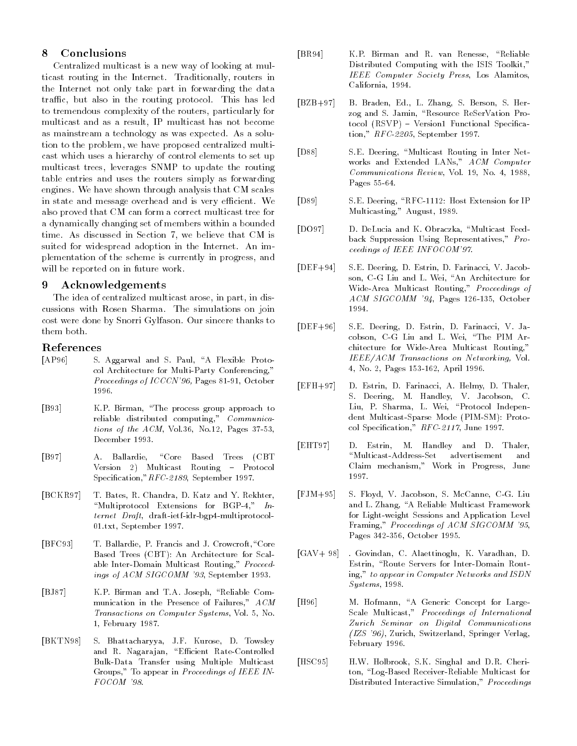## 8 Conclusions

Centralized multicast is a new way of looking at multicast routing in the Internet. Traditionally, routers in the Internet not only take part in forwarding the data traffic, but also in the routing protocol. This has led to tremendous complexity of the routers, particularly for multicast and as a result, IP multicast has not become as mainstream a technology as was expected. As a solution to the problem, we have proposed centralized multicast which uses a hierarchy of control elements to set up multicast trees, leverages SNMP to update the routing table entries and uses the routers simply as forwarding engines. We have shown through analysis that CM scales in state and message overhead and is very efficient. We also proved that CM can form a correct multicast tree for a dynamically changing set of members within a bounded time. As discussed in Section 7, we believe that CM is suited for widespread adoption in the Internet. An implementation of the scheme is currently in progress, and will be reported on in future work.

## 9 Acknowledgements

The idea of centralized multicast arose, in part, in discussions with Rosen Sharma. The simulations on join cost were done by Snorri Gylfason. Our sincere thanks to them both.

## References

- [AP96] S. Aggarwal and S. Paul, "A Flexible Protocol Architecture for Multi-Party Conferencing," Proceedings of ICCCN'96, Pages 81-91, October 1996.
- [B93] K.P. Birman, "The process group approach to reliable distributed computing," Communications of the ACM, Vol.36, No.12, Pages 37-53, December 1993.
- [B97] A. Ballardie, "Core Based Trees (CBT Version 2) Multicast Routing - Protocol Specification," RFC-2189, September 1997.
- [BCKR97] T. Bates, R. Chandra, D. Katz and Y. Rekhter, "Multiprotocol Extensions for BGP-4,"  $In$ ternet Draft, draft-ietf-idr-bgp4-multiprotocol-01.txt, September 1997.
- [BFC93] T. Ballardie, P. Francis and J. Crowcroft, "Core Based Trees (CBT): An Architecture for Scalable Inter-Domain Multicast Routing," Proceedings of ACM SIGCOMM '93, September 1993.
- [BJ87] K.P. Birman and T.A. Joseph, "Reliable Communication in the Presence of Failures," ACM [H96] Transactions on Computer Systems, Vol. 5, No. 1, February 1987.
- [BKTN98] S. Bhattacharyya, J.F. Kurose, D. Towsley and R. Nagarajan, "Efficient Rate-Controlled Bulk-Data Transfer using Multiple Multicast Groups," To appear in Proceedings of IEEE IN-FOCOM '98.
- [BR94] K.P. Birman and R. van Renesse, "Reliable Distributed Computing with the ISIS Toolkit," IEEE Computer Society Press, Los Alamitos, California. 1994. California, 1994.
- [BZB+97] B. Braden, Ed., L. Zhang, S. Berson, S. Herzog and S. Jamin, "Resource ReSerVation Pro $to col (RSVP) - Version1 Functional Specifica$ tion," RFC-2205, September 1997.
- [D88] S.E. Deering, \Multicast Routing in Inter Net works and Extended LANs," ACM Computer Communications Review, Vol. 19, No. 4, 1988, Pages 55-64.
- [D89] S.E. Deering, "RFC-1112: Host Extension for IP Multicasting," August, 1989.
- [DO97] D. DeLucia and K. Obraczka, "Multicast Feedback Suppression Using Representatives," Proceedings of IEEE INFOCOM'97.
- [DEF+94] S.E. Deering, D. Estrin, D. Farinacci, V. Jacobson, C-G Liu and L. Wei, "An Architecture for Wide-Area Multicast Routing," Proceedings of ACM SIGCOMM '94, Pages 126-135, October 1994.
- [DEF+96] S.E. Deering, D. Estrin, D. Farinacci, V. Jacobson, C-G Liu and L. Wei, \The PIM Architecture for Wide-Area Multicast Routing," IEEE/ACM Transactions on Networking, Vol. 4, No. 2, Pages 153-162, April 1996.
- [EFH+97] D. Estrin, D. Farinacci, A. Helmy, D. Thaler, S. Deering, M. Handley, V. Jacobson, C. Liu, P. Sharma, L. Wei, \Protocol Independent Multicast-Sparse Mode (PIM-SM): Protocol Specification," RFC-2117, June 1997.
- [EHT97] D. Estrin, M. Handley and D. Thaler, "Multicast-Address-Set advertisement and Claim mechanism," Work in Progress, June 1997.
- [FJM+95] S. Floyd, V. Jacobson, S. McCanne, C-G. Liu and L. Zhang, "A Reliable Multicast Framework for Light-weight Sessions and Application Level Framing," Proceedings of ACM SIGCOMM '95, Pages 342-356, October 1995.
- [GAV+ 98] . Govindan, C. Alaettinoglu, K. Varadhan, D. Estrin, "Route Servers for Inter-Domain Routing," to appear in Computer Networks and ISDN Systems, 1998.
- M. Hofmann, "A Generic Concept for Large-Scale Multicast," Proceedings of International Zurich Seminar on Digital Communications (IZS '96), Zurich, Switzerland, Springer Verlag, February 1996.
- [HSC95] H.W. Holbrook, S.K. Singhal and D.R. Cheriton, "Log-Based Receiver-Reliable Multicast for Distributed Interactive Simulation," Proceedings